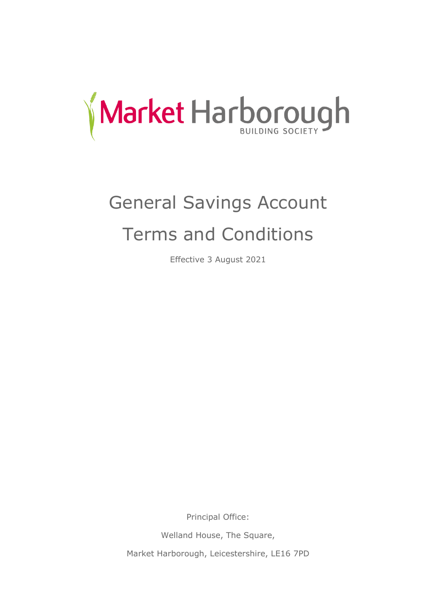

# General Savings Account Terms and Conditions

Effective 3 August 2021

Principal Office:

Welland House, The Square,

Market Harborough, Leicestershire, LE16 7PD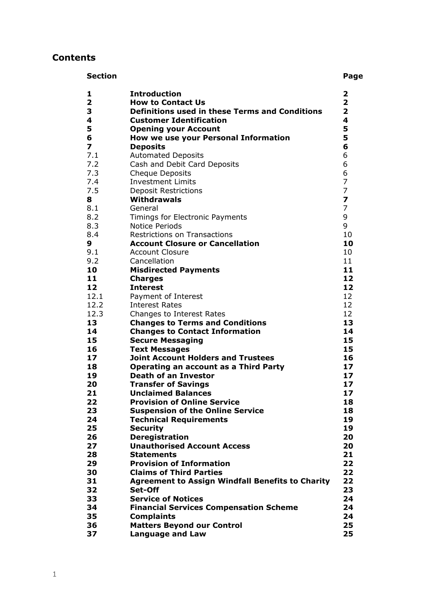# **Contents**

| <b>Section</b>          |                                                         | Page                    |
|-------------------------|---------------------------------------------------------|-------------------------|
| 1                       | <b>Introduction</b>                                     | 2                       |
| $\overline{2}$          | <b>How to Contact Us</b>                                | $\overline{\mathbf{2}}$ |
| 3                       | <b>Definitions used in these Terms and Conditions</b>   | $\overline{\mathbf{2}}$ |
| 4                       | <b>Customer Identification</b>                          | $\overline{\mathbf{4}}$ |
| 5                       | <b>Opening your Account</b>                             | 5                       |
| 6                       | How we use your Personal Information                    | 5                       |
| $\overline{\mathbf{z}}$ | <b>Deposits</b>                                         | 6                       |
| 7.1                     | <b>Automated Deposits</b>                               | 6                       |
| 7.2                     | Cash and Debit Card Deposits                            | 6                       |
| 7.3                     | <b>Cheque Deposits</b>                                  | 6                       |
| 7.4                     | <b>Investment Limits</b>                                | 7                       |
| 7.5                     | <b>Deposit Restrictions</b>                             | 7                       |
| 8                       | Withdrawals                                             | $\overline{\mathbf{z}}$ |
| 8.1                     | General                                                 | 7                       |
| 8.2                     | Timings for Electronic Payments                         | 9                       |
| 8.3                     | Notice Periods                                          | 9                       |
| 8.4                     | <b>Restrictions on Transactions</b>                     | 10                      |
| 9                       | <b>Account Closure or Cancellation</b>                  | 10                      |
| 9.1                     | <b>Account Closure</b>                                  | 10                      |
| 9.2                     | Cancellation                                            | 11                      |
| 10                      | <b>Misdirected Payments</b>                             | 11                      |
| 11                      | <b>Charges</b>                                          | 12                      |
| 12                      | <b>Interest</b>                                         | 12                      |
| 12.1                    | Payment of Interest                                     | 12                      |
| 12.2                    | <b>Interest Rates</b>                                   | 12                      |
| 12.3                    | Changes to Interest Rates                               | 12                      |
| 13                      | <b>Changes to Terms and Conditions</b>                  | 13                      |
| 14                      | <b>Changes to Contact Information</b>                   | 14                      |
| 15                      | <b>Secure Messaging</b>                                 | 15                      |
| 16                      | <b>Text Messages</b>                                    | 15                      |
| 17                      | <b>Joint Account Holders and Trustees</b>               | 16                      |
| 18                      | <b>Operating an account as a Third Party</b>            | 17                      |
| 19                      | <b>Death of an Investor</b>                             | 17                      |
| 20                      | <b>Transfer of Savings</b>                              | 17                      |
| 21                      | <b>Unclaimed Balances</b>                               | 17                      |
| 22                      | <b>Provision of Online Service</b>                      | 18                      |
| 23                      | <b>Suspension of the Online Service</b>                 | 18                      |
| 24                      | <b>Technical Requirements</b>                           | 19                      |
| 25                      | <b>Security</b>                                         | 19                      |
| 26                      | <b>Deregistration</b>                                   | 20                      |
| 27                      | <b>Unauthorised Account Access</b>                      | 20                      |
| 28                      | <b>Statements</b>                                       | 21                      |
| 29                      | <b>Provision of Information</b>                         | 22                      |
| 30                      | <b>Claims of Third Parties</b>                          | 22                      |
| 31                      | <b>Agreement to Assign Windfall Benefits to Charity</b> | 22                      |
| 32                      | Set-Off                                                 | 23                      |
| 33                      | <b>Service of Notices</b>                               | 24                      |
| 34                      | <b>Financial Services Compensation Scheme</b>           | 24                      |
| 35                      | <b>Complaints</b>                                       | 24                      |
| 36                      | <b>Matters Beyond our Control</b>                       | 25                      |
| 37                      | <b>Language and Law</b>                                 | 25                      |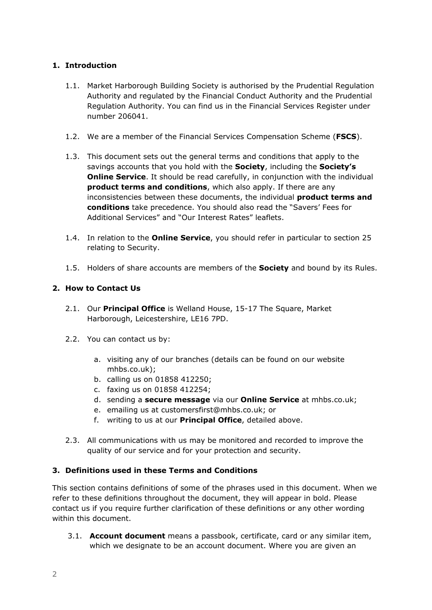# **1. Introduction**

- 1.1. Market Harborough Building Society is authorised by the Prudential Regulation Authority and regulated by the Financial Conduct Authority and the Prudential Regulation Authority. You can find us in the Financial Services Register under number 206041.
- 1.2. We are a member of the Financial Services Compensation Scheme (**FSCS**).
- 1.3. This document sets out the general terms and conditions that apply to the savings accounts that you hold with the **Society**, including the **Society's Online Service**. It should be read carefully, in conjunction with the individual **product terms and conditions**, which also apply. If there are any inconsistencies between these documents, the individual **product terms and conditions** take precedence. You should also read the "Savers' Fees for Additional Services" and "Our Interest Rates" leaflets.
- 1.4. In relation to the **Online Service**, you should refer in particular to section 25 relating to Security.
- 1.5. Holders of share accounts are members of the **Society** and bound by its Rules.

# **2. How to Contact Us**

- 2.1. Our **Principal Office** is Welland House, 15-17 The Square, Market Harborough, Leicestershire, LE16 7PD.
- 2.2. You can contact us by:
	- a. visiting any of our branches (details can be found on our website mhbs.co.uk);
	- b. calling us on 01858 412250;
	- c. faxing us on 01858 412254;
	- d. sending a **secure message** via our **Online Service** at mhbs.co.uk;
	- e. emailing us at customersfirst@mhbs.co.uk; or
	- f. writing to us at our **Principal Office**, detailed above.
- 2.3. All communications with us may be monitored and recorded to improve the quality of our service and for your protection and security.

# **3. Definitions used in these Terms and Conditions**

This section contains definitions of some of the phrases used in this document. When we refer to these definitions throughout the document, they will appear in bold. Please contact us if you require further clarification of these definitions or any other wording within this document.

3.1. **Account document** means a passbook, certificate, card or any similar item, which we designate to be an account document. Where you are given an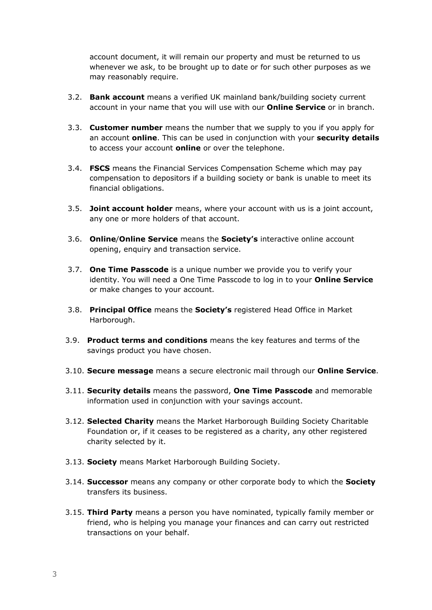account document, it will remain our property and must be returned to us whenever we ask, to be brought up to date or for such other purposes as we may reasonably require.

- 3.2. **Bank account** means a verified UK mainland bank/building society current account in your name that you will use with our **Online Service** or in branch.
- 3.3. **Customer number** means the number that we supply to you if you apply for an account **online**. This can be used in conjunction with your **security details** to access your account **online** or over the telephone.
- 3.4. **FSCS** means the Financial Services Compensation Scheme which may pay compensation to depositors if a building society or bank is unable to meet its financial obligations.
- 3.5. **Joint account holder** means, where your account with us is a joint account, any one or more holders of that account.
- 3.6. **Online**/**Online Service** means the **Society's** interactive online account opening, enquiry and transaction service.
- 3.7. **One Time Passcode** is a unique number we provide you to verify your identity. You will need a One Time Passcode to log in to your **Online Service** or make changes to your account.
- 3.8. **Principal Office** means the **Society's** registered Head Office in Market Harborough.
- 3.9. **Product terms and conditions** means the key features and terms of the savings product you have chosen.
- 3.10. **Secure message** means a secure electronic mail through our **Online Service**.
- 3.11. **Security details** means the password, **One Time Passcode** and memorable information used in conjunction with your savings account.
- 3.12. **Selected Charity** means the Market Harborough Building Society Charitable Foundation or, if it ceases to be registered as a charity, any other registered charity selected by it.
- 3.13. **Society** means Market Harborough Building Society.
- 3.14. **Successor** means any company or other corporate body to which the **Society** transfers its business.
- 3.15. **Third Party** means a person you have nominated, typically family member or friend, who is helping you manage your finances and can carry out restricted transactions on your behalf.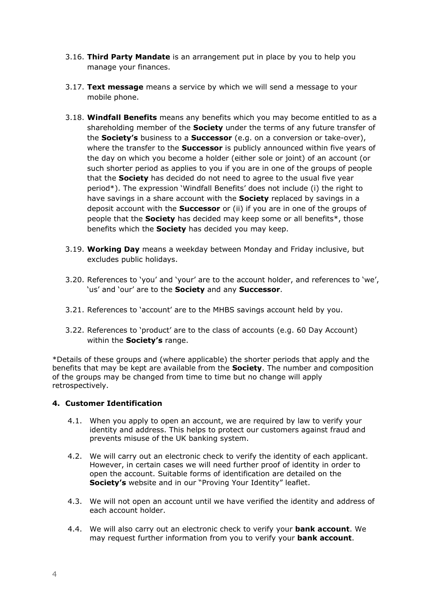- 3.16. **Third Party Mandate** is an arrangement put in place by you to help you manage your finances.
- 3.17. **Text message** means a service by which we will send a message to your mobile phone.
- 3.18. **Windfall Benefits** means any benefits which you may become entitled to as a shareholding member of the **Society** under the terms of any future transfer of the **Society's** business to a **Successor** (e.g. on a conversion or take-over), where the transfer to the **Successor** is publicly announced within five years of the day on which you become a holder (either sole or joint) of an account (or such shorter period as applies to you if you are in one of the groups of people that the **Society** has decided do not need to agree to the usual five year period\*). The expression 'Windfall Benefits' does not include (i) the right to have savings in a share account with the **Society** replaced by savings in a deposit account with the **Successor** or (ii) if you are in one of the groups of people that the **Society** has decided may keep some or all benefits\*, those benefits which the **Society** has decided you may keep.
- 3.19. **Working Day** means a weekday between Monday and Friday inclusive, but excludes public holidays.
- 3.20. References to 'you' and 'your' are to the account holder, and references to 'we', 'us' and 'our' are to the **Society** and any **Successor**.
- 3.21. References to 'account' are to the MHBS savings account held by you.
- 3.22. References to 'product' are to the class of accounts (e.g. 60 Day Account) within the **Society's** range.

\*Details of these groups and (where applicable) the shorter periods that apply and the benefits that may be kept are available from the **Society**. The number and composition of the groups may be changed from time to time but no change will apply retrospectively.

#### **4. Customer Identification**

- 4.1. When you apply to open an account, we are required by law to verify your identity and address. This helps to protect our customers against fraud and prevents misuse of the UK banking system.
- 4.2. We will carry out an electronic check to verify the identity of each applicant. However, in certain cases we will need further proof of identity in order to open the account. Suitable forms of identification are detailed on the **Society's** website and in our "Proving Your Identity" leaflet.
- 4.3. We will not open an account until we have verified the identity and address of each account holder.
- 4.4. We will also carry out an electronic check to verify your **bank account**. We may request further information from you to verify your **bank account**.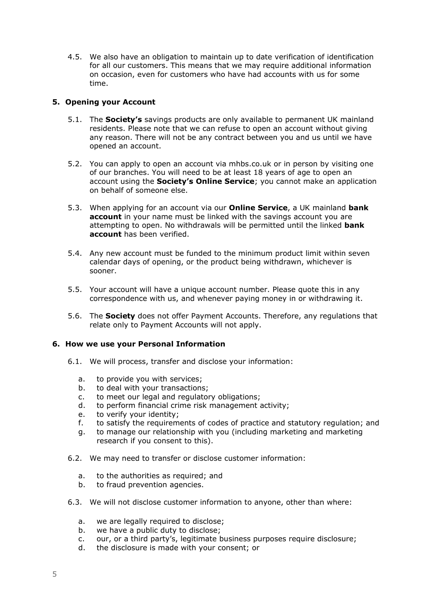4.5. We also have an obligation to maintain up to date verification of identification for all our customers. This means that we may require additional information on occasion, even for customers who have had accounts with us for some time.

#### **5. Opening your Account**

- 5.1. The **Society's** savings products are only available to permanent UK mainland residents. Please note that we can refuse to open an account without giving any reason. There will not be any contract between you and us until we have opened an account.
- 5.2. You can apply to open an account via mhbs.co.uk or in person by visiting one of our branches. You will need to be at least 18 years of age to open an account using the **Society's Online Service**; you cannot make an application on behalf of someone else.
- 5.3. When applying for an account via our **Online Service**, a UK mainland **bank account** in your name must be linked with the savings account you are attempting to open. No withdrawals will be permitted until the linked **bank account** has been verified.
- 5.4. Any new account must be funded to the minimum product limit within seven calendar days of opening, or the product being withdrawn, whichever is sooner.
- 5.5. Your account will have a unique account number. Please quote this in any correspondence with us, and whenever paying money in or withdrawing it.
- 5.6. The **Society** does not offer Payment Accounts. Therefore, any regulations that relate only to Payment Accounts will not apply.

#### **6. How we use your Personal Information**

- 6.1. We will process, transfer and disclose your information:
	- a. to provide you with services;
	- b. to deal with your transactions;
	- c. to meet our legal and regulatory obligations;
	- d. to perform financial crime risk management activity;
	- e. to verify your identity;
	- f. to satisfy the requirements of codes of practice and statutory regulation; and
	- g. to manage our relationship with you (including marketing and marketing research if you consent to this).
- 6.2. We may need to transfer or disclose customer information:
	- a. to the authorities as required; and
	- b. to fraud prevention agencies.
- 6.3. We will not disclose customer information to anyone, other than where:
	- a. we are legally required to disclose;
	- b. we have a public duty to disclose;
	- c. our, or a third party's, legitimate business purposes require disclosure;
	- d. the disclosure is made with your consent; or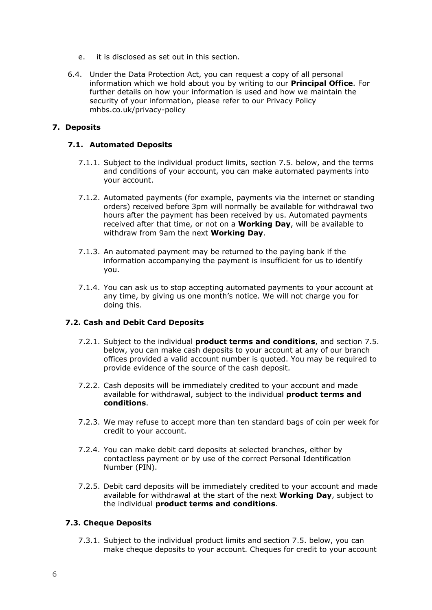- e. it is disclosed as set out in this section.
- 6.4. Under the Data Protection Act, you can request a copy of all personal information which we hold about you by writing to our **Principal Office**. For further details on how your information is used and how we maintain the security of your information, please refer to our Privacy Policy mhbs.co.uk/privacy-policy

#### **7. Deposits**

#### **7.1. Automated Deposits**

- 7.1.1. Subject to the individual product limits, section 7.5. below, and the terms and conditions of your account, you can make automated payments into your account.
- 7.1.2. Automated payments (for example, payments via the internet or standing orders) received before 3pm will normally be available for withdrawal two hours after the payment has been received by us. Automated payments received after that time, or not on a **Working Day**, will be available to withdraw from 9am the next **Working Day**.
- 7.1.3. An automated payment may be returned to the paying bank if the information accompanying the payment is insufficient for us to identify you.
- 7.1.4. You can ask us to stop accepting automated payments to your account at any time, by giving us one month's notice. We will not charge you for doing this.

#### **7.2. Cash and Debit Card Deposits**

- 7.2.1. Subject to the individual **product terms and conditions**, and section 7.5. below, you can make cash deposits to your account at any of our branch offices provided a valid account number is quoted. You may be required to provide evidence of the source of the cash deposit.
- 7.2.2. Cash deposits will be immediately credited to your account and made available for withdrawal, subject to the individual **product terms and conditions**.
- 7.2.3. We may refuse to accept more than ten standard bags of coin per week for credit to your account.
- 7.2.4. You can make debit card deposits at selected branches, either by contactless payment or by use of the correct Personal Identification Number (PIN).
- 7.2.5. Debit card deposits will be immediately credited to your account and made available for withdrawal at the start of the next **Working Day**, subject to the individual **product terms and conditions**.

#### **7.3. Cheque Deposits**

7.3.1. Subject to the individual product limits and section 7.5. below, you can make cheque deposits to your account. Cheques for credit to your account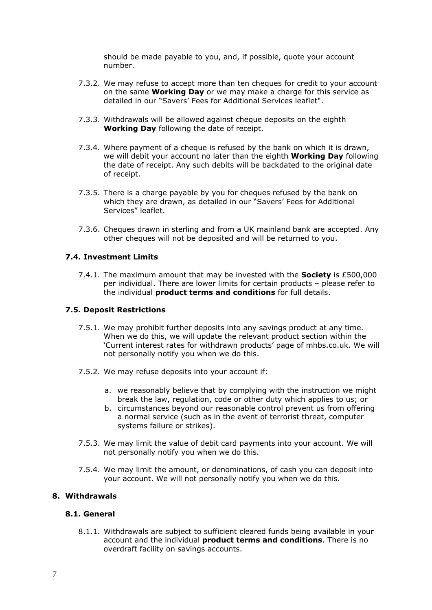should be made payable to you, and, if possible, quote your account number.

- 7.3.2. We may refuse to accept more than ten cheques for credit to your account on the same **Working Day** or we may make a charge for this service as detailed in our "Savers' Fees for Additional Services leaflet".
- 7.3.3. Withdrawals will be allowed against cheque deposits on the eighth **Working Day** following the date of receipt.
- 7.3.4. Where payment of a cheque is refused by the bank on which it is drawn, we will debit your account no later than the eighth **Working Day** following the date of receipt. Any such debits will be backdated to the original date of receipt.
- 7.3.5. There is a charge payable by you for cheques refused by the bank on which they are drawn, as detailed in our "Savers' Fees for Additional Services" leaflet.
- 7.3.6. Cheques drawn in sterling and from a UK mainland bank are accepted. Any other cheques will not be deposited and will be returned to you.

#### **7.4. Investment Limits**

7.4.1. The maximum amount that may be invested with the **Society** is £500,000 per individual. There are lower limits for certain products – please refer to the individual **product terms and conditions** for full details.

#### **7.5. Deposit Restrictions**

- 7.5.1. We may prohibit further deposits into any savings product at any time. When we do this, we will update the relevant product section within the 'Current interest rates for withdrawn products' page of mhbs.co.uk. We will not personally notify you when we do this.
- 7.5.2. We may refuse deposits into your account if:
	- a. we reasonably believe that by complying with the instruction we might break the law, regulation, code or other duty which applies to us; or
	- b. circumstances beyond our reasonable control prevent us from offering a normal service (such as in the event of terrorist threat, computer systems failure or strikes).
- 7.5.3. We may limit the value of debit card payments into your account. We will not personally notify you when we do this.
- 7.5.4. We may limit the amount, or denominations, of cash you can deposit into your account. We will not personally notify you when we do this.

#### **8. Withdrawals**

#### **8.1. General**

8.1.1. Withdrawals are subject to sufficient cleared funds being available in your account and the individual **product terms and conditions**. There is no overdraft facility on savings accounts.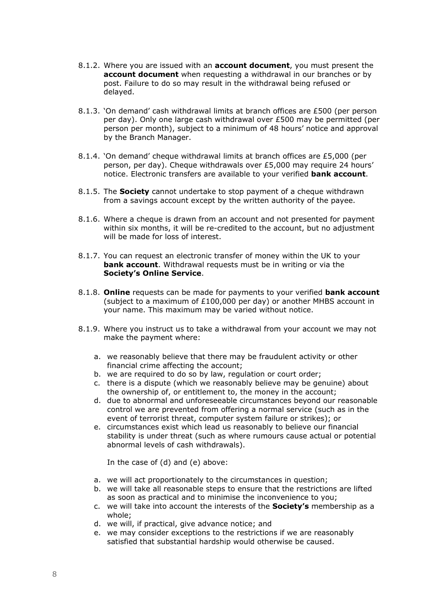- 8.1.2. Where you are issued with an **account document**, you must present the **account document** when requesting a withdrawal in our branches or by post. Failure to do so may result in the withdrawal being refused or delayed.
- 8.1.3. 'On demand' cash withdrawal limits at branch offices are £500 (per person per day). Only one large cash withdrawal over £500 may be permitted (per person per month), subject to a minimum of 48 hours' notice and approval by the Branch Manager.
- 8.1.4. 'On demand' cheque withdrawal limits at branch offices are £5,000 (per person, per day). Cheque withdrawals over £5,000 may require 24 hours' notice. Electronic transfers are available to your verified **bank account**.
- 8.1.5. The **Society** cannot undertake to stop payment of a cheque withdrawn from a savings account except by the written authority of the payee.
- 8.1.6. Where a cheque is drawn from an account and not presented for payment within six months, it will be re-credited to the account, but no adjustment will be made for loss of interest.
- 8.1.7. You can request an electronic transfer of money within the UK to your **bank account**. Withdrawal requests must be in writing or via the **Society's Online Service**.
- 8.1.8. **Online** requests can be made for payments to your verified **bank account** (subject to a maximum of £100,000 per day) or another MHBS account in your name. This maximum may be varied without notice.
- 8.1.9. Where you instruct us to take a withdrawal from your account we may not make the payment where:
	- a. we reasonably believe that there may be fraudulent activity or other financial crime affecting the account;
	- b. we are required to do so by law, regulation or court order;
	- c. there is a dispute (which we reasonably believe may be genuine) about the ownership of, or entitlement to, the money in the account;
	- d. due to abnormal and unforeseeable circumstances beyond our reasonable control we are prevented from offering a normal service (such as in the event of terrorist threat, computer system failure or strikes); or
	- e. circumstances exist which lead us reasonably to believe our financial stability is under threat (such as where rumours cause actual or potential abnormal levels of cash withdrawals).

In the case of (d) and (e) above:

- a. we will act proportionately to the circumstances in question;
- b. we will take all reasonable steps to ensure that the restrictions are lifted as soon as practical and to minimise the inconvenience to you;
- c. we will take into account the interests of the **Society's** membership as a whole;
- d. we will, if practical, give advance notice; and
- e. we may consider exceptions to the restrictions if we are reasonably satisfied that substantial hardship would otherwise be caused.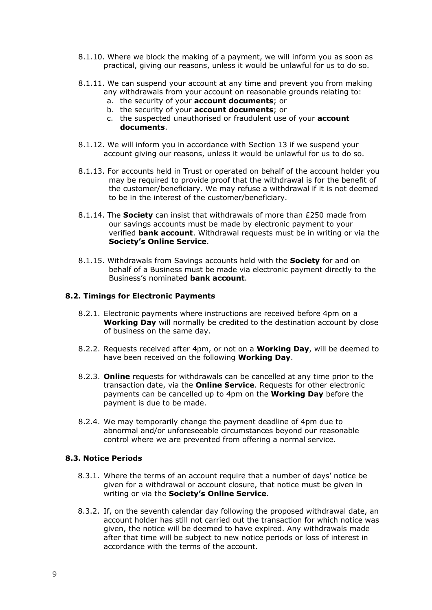- 8.1.10. Where we block the making of a payment, we will inform you as soon as practical, giving our reasons, unless it would be unlawful for us to do so.
- 8.1.11. We can suspend your account at any time and prevent you from making any withdrawals from your account on reasonable grounds relating to:
	- a. the security of your **account documents**; or
	- b. the security of your **account documents**; or
	- c. the suspected unauthorised or fraudulent use of your **account documents**.
- 8.1.12. We will inform you in accordance with Section 13 if we suspend your account giving our reasons, unless it would be unlawful for us to do so.
- 8.1.13. For accounts held in Trust or operated on behalf of the account holder you may be required to provide proof that the withdrawal is for the benefit of the customer/beneficiary. We may refuse a withdrawal if it is not deemed to be in the interest of the customer/beneficiary.
- 8.1.14. The **Society** can insist that withdrawals of more than £250 made from our savings accounts must be made by electronic payment to your verified **bank account**. Withdrawal requests must be in writing or via the **Society's Online Service**.
- 8.1.15. Withdrawals from Savings accounts held with the **Society** for and on behalf of a Business must be made via electronic payment directly to the Business's nominated **bank account**.

#### **8.2. Timings for Electronic Payments**

- 8.2.1. Electronic payments where instructions are received before 4pm on a **Working Day** will normally be credited to the destination account by close of business on the same day.
- 8.2.2. Requests received after 4pm, or not on a **Working Day**, will be deemed to have been received on the following **Working Day**.
- 8.2.3. **Online** requests for withdrawals can be cancelled at any time prior to the transaction date, via the **Online Service**. Requests for other electronic payments can be cancelled up to 4pm on the **Working Day** before the payment is due to be made.
- 8.2.4. We may temporarily change the payment deadline of 4pm due to abnormal and/or unforeseeable circumstances beyond our reasonable control where we are prevented from offering a normal service.

#### **8.3. Notice Periods**

- 8.3.1. Where the terms of an account require that a number of days' notice be given for a withdrawal or account closure, that notice must be given in writing or via the **Society's Online Service**.
- 8.3.2. If, on the seventh calendar day following the proposed withdrawal date, an account holder has still not carried out the transaction for which notice was given, the notice will be deemed to have expired. Any withdrawals made after that time will be subject to new notice periods or loss of interest in accordance with the terms of the account.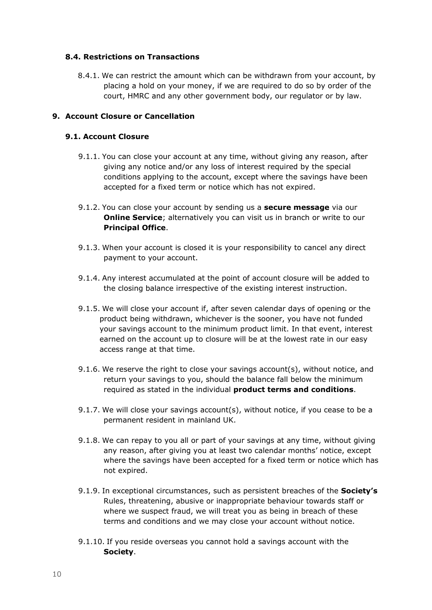#### **8.4. Restrictions on Transactions**

8.4.1. We can restrict the amount which can be withdrawn from your account, by placing a hold on your money, if we are required to do so by order of the court, HMRC and any other government body, our regulator or by law.

#### **9. Account Closure or Cancellation**

#### **9.1. Account Closure**

- 9.1.1. You can close your account at any time, without giving any reason, after giving any notice and/or any loss of interest required by the special conditions applying to the account, except where the savings have been accepted for a fixed term or notice which has not expired.
- 9.1.2. You can close your account by sending us a **secure message** via our **Online Service**; alternatively you can visit us in branch or write to our **Principal Office**.
- 9.1.3. When your account is closed it is your responsibility to cancel any direct payment to your account.
- 9.1.4. Any interest accumulated at the point of account closure will be added to the closing balance irrespective of the existing interest instruction.
- 9.1.5. We will close your account if, after seven calendar days of opening or the product being withdrawn, whichever is the sooner, you have not funded your savings account to the minimum product limit. In that event, interest earned on the account up to closure will be at the lowest rate in our easy access range at that time.
- 9.1.6. We reserve the right to close your savings account(s), without notice, and return your savings to you, should the balance fall below the minimum required as stated in the individual **product terms and conditions**.
- 9.1.7. We will close your savings account(s), without notice, if you cease to be a permanent resident in mainland UK.
- 9.1.8. We can repay to you all or part of your savings at any time, without giving any reason, after giving you at least two calendar months' notice, except where the savings have been accepted for a fixed term or notice which has not expired.
- 9.1.9. In exceptional circumstances, such as persistent breaches of the **Society's** Rules, threatening, abusive or inappropriate behaviour towards staff or where we suspect fraud, we will treat you as being in breach of these terms and conditions and we may close your account without notice.
- 9.1.10. If you reside overseas you cannot hold a savings account with the **Society**.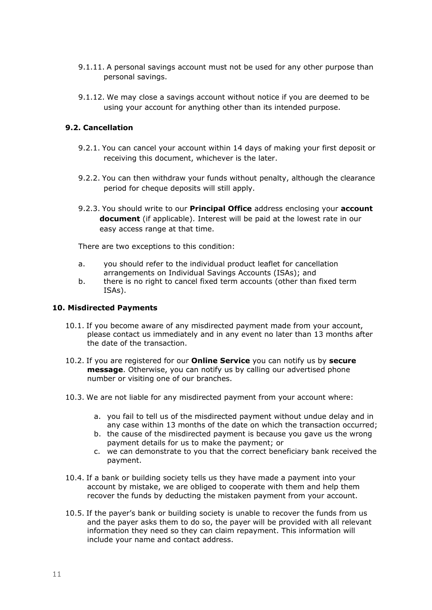- 9.1.11. A personal savings account must not be used for any other purpose than personal savings.
- 9.1.12. We may close a savings account without notice if you are deemed to be using your account for anything other than its intended purpose.

#### **9.2. Cancellation**

- 9.2.1. You can cancel your account within 14 days of making your first deposit or receiving this document, whichever is the later.
- 9.2.2. You can then withdraw your funds without penalty, although the clearance period for cheque deposits will still apply.
- 9.2.3. You should write to our **Principal Office** address enclosing your **account document** (if applicable). Interest will be paid at the lowest rate in our easy access range at that time.

There are two exceptions to this condition:

- a. you should refer to the individual product leaflet for cancellation arrangements on Individual Savings Accounts (ISAs); and
- b. there is no right to cancel fixed term accounts (other than fixed term ISAs).

#### **10. Misdirected Payments**

- 10.1. If you become aware of any misdirected payment made from your account, please contact us immediately and in any event no later than 13 months after the date of the transaction.
- 10.2. If you are registered for our **Online Service** you can notify us by **secure message**. Otherwise, you can notify us by calling our advertised phone number or visiting one of our branches.
- 10.3. We are not liable for any misdirected payment from your account where:
	- a. you fail to tell us of the misdirected payment without undue delay and in any case within 13 months of the date on which the transaction occurred;
	- b. the cause of the misdirected payment is because you gave us the wrong payment details for us to make the payment; or
	- c. we can demonstrate to you that the correct beneficiary bank received the payment.
- 10.4. If a bank or building society tells us they have made a payment into your account by mistake, we are obliged to cooperate with them and help them recover the funds by deducting the mistaken payment from your account.
- 10.5. If the payer's bank or building society is unable to recover the funds from us and the payer asks them to do so, the payer will be provided with all relevant information they need so they can claim repayment. This information will include your name and contact address.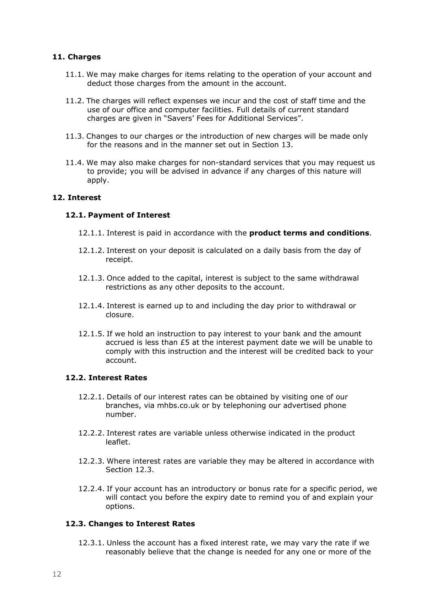#### **11. Charges**

- 11.1. We may make charges for items relating to the operation of your account and deduct those charges from the amount in the account.
- 11.2. The charges will reflect expenses we incur and the cost of staff time and the use of our office and computer facilities. Full details of current standard charges are given in "Savers' Fees for Additional Services".
- 11.3. Changes to our charges or the introduction of new charges will be made only for the reasons and in the manner set out in Section 13.
- 11.4. We may also make charges for non-standard services that you may request us to provide; you will be advised in advance if any charges of this nature will apply.

#### **12. Interest**

#### **12.1. Payment of Interest**

- 12.1.1. Interest is paid in accordance with the **product terms and conditions**.
- 12.1.2. Interest on your deposit is calculated on a daily basis from the day of receipt.
- 12.1.3. Once added to the capital, interest is subject to the same withdrawal restrictions as any other deposits to the account.
- 12.1.4. Interest is earned up to and including the day prior to withdrawal or closure.
- 12.1.5. If we hold an instruction to pay interest to your bank and the amount accrued is less than £5 at the interest payment date we will be unable to comply with this instruction and the interest will be credited back to your account.

#### **12.2. Interest Rates**

- 12.2.1. Details of our interest rates can be obtained by visiting one of our branches, via mhbs.co.uk or by telephoning our advertised phone number.
- 12.2.2. Interest rates are variable unless otherwise indicated in the product leaflet.
- 12.2.3. Where interest rates are variable they may be altered in accordance with Section 12.3.
- 12.2.4. If your account has an introductory or bonus rate for a specific period, we will contact you before the expiry date to remind you of and explain your options.

#### **12.3. Changes to Interest Rates**

12.3.1. Unless the account has a fixed interest rate, we may vary the rate if we reasonably believe that the change is needed for any one or more of the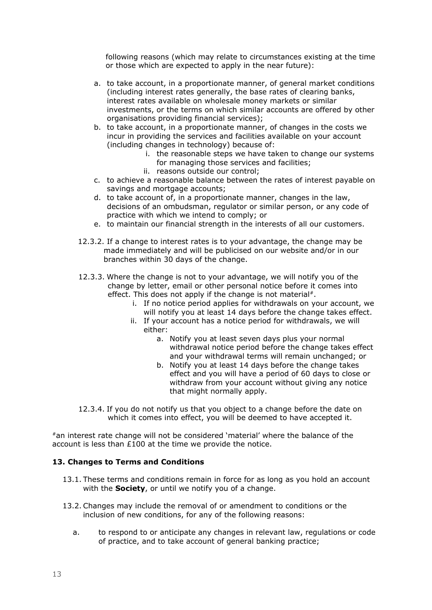following reasons (which may relate to circumstances existing at the time or those which are expected to apply in the near future):

- a. to take account, in a proportionate manner, of general market conditions (including interest rates generally, the base rates of clearing banks, interest rates available on wholesale money markets or similar investments, or the terms on which similar accounts are offered by other organisations providing financial services);
- b. to take account, in a proportionate manner, of changes in the costs we incur in providing the services and facilities available on your account (including changes in technology) because of:
	- i. the reasonable steps we have taken to change our systems for managing those services and facilities;
	- ii. reasons outside our control;
- c. to achieve a reasonable balance between the rates of interest payable on savings and mortgage accounts;
- d. to take account of, in a proportionate manner, changes in the law, decisions of an ombudsman, regulator or similar person, or any code of practice with which we intend to comply; or
- e. to maintain our financial strength in the interests of all our customers.
- 12.3.2. If a change to interest rates is to your advantage, the change may be made immediately and will be publicised on our website and/or in our branches within 30 days of the change.
- 12.3.3. Where the change is not to your advantage, we will notify you of the change by letter, email or other personal notice before it comes into effect. This does not apply if the change is not material#.
	- i. If no notice period applies for withdrawals on your account, we will notify you at least 14 days before the change takes effect.
	- ii. If your account has a notice period for withdrawals, we will either:
		- a. Notify you at least seven days plus your normal withdrawal notice period before the change takes effect and your withdrawal terms will remain unchanged; or
		- b. Notify you at least 14 days before the change takes effect and you will have a period of 60 days to close or withdraw from your account without giving any notice that might normally apply.
- 12.3.4. If you do not notify us that you object to a change before the date on which it comes into effect, you will be deemed to have accepted it.

#an interest rate change will not be considered 'material' where the balance of the account is less than £100 at the time we provide the notice.

#### **13. Changes to Terms and Conditions**

- 13.1. These terms and conditions remain in force for as long as you hold an account with the **Society**, or until we notify you of a change.
- 13.2. Changes may include the removal of or amendment to conditions or the inclusion of new conditions, for any of the following reasons:
	- a. to respond to or anticipate any changes in relevant law, regulations or code of practice, and to take account of general banking practice;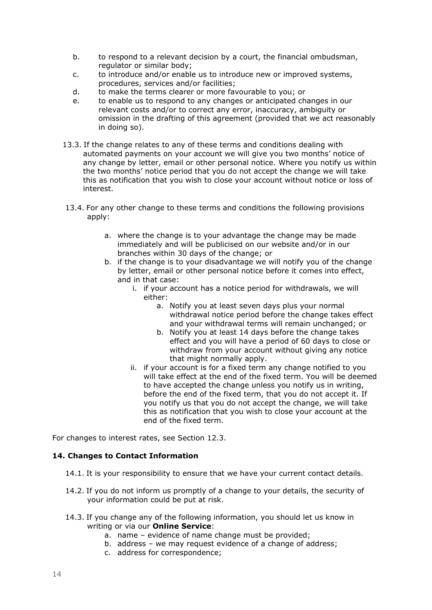- b. to respond to a relevant decision by a court, the financial ombudsman, regulator or similar body;
- c. to introduce and/or enable us to introduce new or improved systems, procedures, services and/or facilities;
- d. to make the terms clearer or more favourable to you; or
- e. to enable us to respond to any changes or anticipated changes in our relevant costs and/or to correct any error, inaccuracy, ambiguity or omission in the drafting of this agreement (provided that we act reasonably in doing so).
- 13.3. If the change relates to any of these terms and conditions dealing with automated payments on your account we will give you two months' notice of any change by letter, email or other personal notice. Where you notify us within the two months' notice period that you do not accept the change we will take this as notification that you wish to close your account without notice or loss of interest.
- 13.4. For any other change to these terms and conditions the following provisions apply:
	- a. where the change is to your advantage the change may be made immediately and will be publicised on our website and/or in our branches within 30 days of the change; or
	- b. if the change is to your disadvantage we will notify you of the change by letter, email or other personal notice before it comes into effect, and in that case:
		- i. if your account has a notice period for withdrawals, we will either:
			- a. Notify you at least seven days plus your normal withdrawal notice period before the change takes effect and your withdrawal terms will remain unchanged; or
			- b. Notify you at least 14 days before the change takes effect and you will have a period of 60 days to close or withdraw from your account without giving any notice that might normally apply.
		- ii. if your account is for a fixed term any change notified to you will take effect at the end of the fixed term. You will be deemed to have accepted the change unless you notify us in writing, before the end of the fixed term, that you do not accept it. If you notify us that you do not accept the change, we will take this as notification that you wish to close your account at the end of the fixed term.

For changes to interest rates, see Section 12.3.

#### **14. Changes to Contact Information**

- 14.1. It is your responsibility to ensure that we have your current contact details.
- 14.2. If you do not inform us promptly of a change to your details, the security of your information could be put at risk.
- 14.3. If you change any of the following information, you should let us know in writing or via our **Online Service**:
	- a. name evidence of name change must be provided;
	- b. address we may request evidence of a change of address;
	- c. address for correspondence;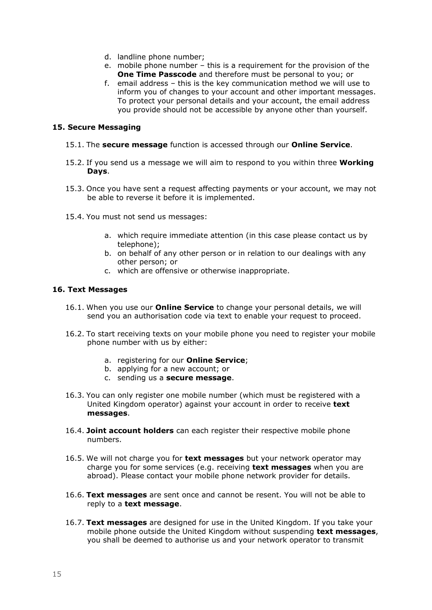- d. landline phone number;
- e. mobile phone number this is a requirement for the provision of the **One Time Passcode** and therefore must be personal to you; or
- f. email address this is the key communication method we will use to inform you of changes to your account and other important messages. To protect your personal details and your account, the email address you provide should not be accessible by anyone other than yourself.

#### **15. Secure Messaging**

- 15.1. The **secure message** function is accessed through our **Online Service**.
- 15.2. If you send us a message we will aim to respond to you within three **Working Days**.
- 15.3. Once you have sent a request affecting payments or your account, we may not be able to reverse it before it is implemented.
- 15.4. You must not send us messages:
	- a. which require immediate attention (in this case please contact us by telephone);
	- b. on behalf of any other person or in relation to our dealings with any other person; or
	- c. which are offensive or otherwise inappropriate.

#### **16. Text Messages**

- 16.1. When you use our **Online Service** to change your personal details, we will send you an authorisation code via text to enable your request to proceed.
- 16.2. To start receiving texts on your mobile phone you need to register your mobile phone number with us by either:
	- a. registering for our **Online Service**;
	- b. applying for a new account; or
	- c. sending us a **secure message**.
- 16.3. You can only register one mobile number (which must be registered with a United Kingdom operator) against your account in order to receive **text messages**.
- 16.4. **Joint account holders** can each register their respective mobile phone numbers.
- 16.5. We will not charge you for **text messages** but your network operator may charge you for some services (e.g. receiving **text messages** when you are abroad). Please contact your mobile phone network provider for details.
- 16.6. **Text messages** are sent once and cannot be resent. You will not be able to reply to a **text message**.
- 16.7. **Text messages** are designed for use in the United Kingdom. If you take your mobile phone outside the United Kingdom without suspending **text messages**, you shall be deemed to authorise us and your network operator to transmit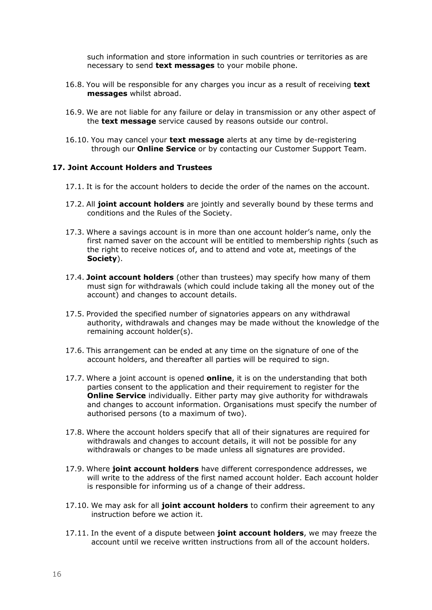such information and store information in such countries or territories as are necessary to send **text messages** to your mobile phone.

- 16.8. You will be responsible for any charges you incur as a result of receiving **text messages** whilst abroad.
- 16.9. We are not liable for any failure or delay in transmission or any other aspect of the **text message** service caused by reasons outside our control.
- 16.10. You may cancel your **text message** alerts at any time by de-registering through our **Online Service** or by contacting our Customer Support Team.

#### **17. Joint Account Holders and Trustees**

- 17.1. It is for the account holders to decide the order of the names on the account.
- 17.2. All **joint account holders** are jointly and severally bound by these terms and conditions and the Rules of the Society.
- 17.3. Where a savings account is in more than one account holder's name, only the first named saver on the account will be entitled to membership rights (such as the right to receive notices of, and to attend and vote at, meetings of the **Society**).
- 17.4. **Joint account holders** (other than trustees) may specify how many of them must sign for withdrawals (which could include taking all the money out of the account) and changes to account details.
- 17.5. Provided the specified number of signatories appears on any withdrawal authority, withdrawals and changes may be made without the knowledge of the remaining account holder(s).
- 17.6. This arrangement can be ended at any time on the signature of one of the account holders, and thereafter all parties will be required to sign.
- 17.7. Where a joint account is opened **online**, it is on the understanding that both parties consent to the application and their requirement to register for the **Online Service** individually. Either party may give authority for withdrawals and changes to account information. Organisations must specify the number of authorised persons (to a maximum of two).
- 17.8. Where the account holders specify that all of their signatures are required for withdrawals and changes to account details, it will not be possible for any withdrawals or changes to be made unless all signatures are provided.
- 17.9. Where **joint account holders** have different correspondence addresses, we will write to the address of the first named account holder. Each account holder is responsible for informing us of a change of their address.
- 17.10. We may ask for all **joint account holders** to confirm their agreement to any instruction before we action it.
- 17.11. In the event of a dispute between **joint account holders**, we may freeze the account until we receive written instructions from all of the account holders.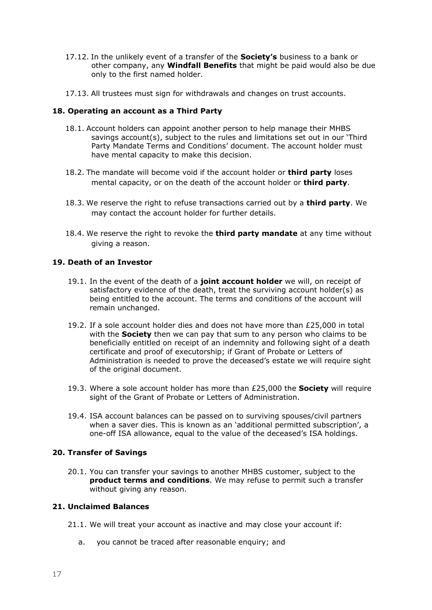- 17.12. In the unlikely event of a transfer of the **Society's** business to a bank or other company, any **Windfall Benefits** that might be paid would also be due only to the first named holder.
- 17.13. All trustees must sign for withdrawals and changes on trust accounts.

#### **18. Operating an account as a Third Party**

- 18.1. Account holders can appoint another person to help manage their MHBS savings account(s), subject to the rules and limitations set out in our 'Third Party Mandate Terms and Conditions' document. The account holder must have mental capacity to make this decision.
- 18.2. The mandate will become void if the account holder or **third party** loses mental capacity, or on the death of the account holder or **third party**.
- 18.3. We reserve the right to refuse transactions carried out by a **third party**. We may contact the account holder for further details.
- 18.4. We reserve the right to revoke the **third party mandate** at any time without giving a reason.

#### **19. Death of an Investor**

- 19.1. In the event of the death of a **joint account holder** we will, on receipt of satisfactory evidence of the death, treat the surviving account holder(s) as being entitled to the account. The terms and conditions of the account will remain unchanged.
- 19.2. If a sole account holder dies and does not have more than £25,000 in total with the **Society** then we can pay that sum to any person who claims to be beneficially entitled on receipt of an indemnity and following sight of a death certificate and proof of executorship; if Grant of Probate or Letters of Administration is needed to prove the deceased's estate we will require sight of the original document.
- 19.3. Where a sole account holder has more than £25,000 the **Society** will require sight of the Grant of Probate or Letters of Administration.
- 19.4. ISA account balances can be passed on to surviving spouses/civil partners when a saver dies. This is known as an 'additional permitted subscription', a one-off ISA allowance, equal to the value of the deceased's ISA holdings.

#### **20. Transfer of Savings**

20.1. You can transfer your savings to another MHBS customer, subject to the **product terms and conditions**. We may refuse to permit such a transfer without giving any reason.

#### **21. Unclaimed Balances**

- 21.1. We will treat your account as inactive and may close your account if:
	- a. you cannot be traced after reasonable enquiry; and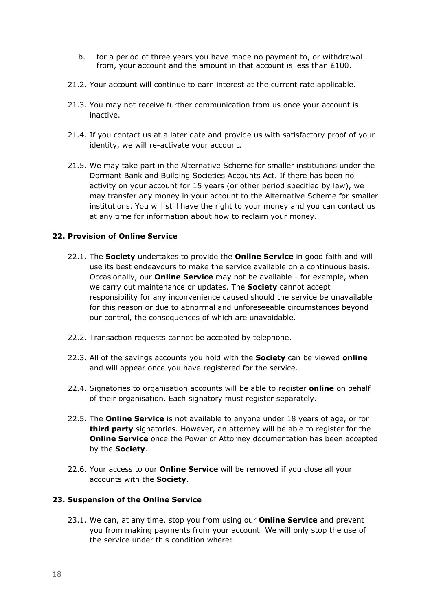- b. for a period of three years you have made no payment to, or withdrawal from, your account and the amount in that account is less than £100.
- 21.2. Your account will continue to earn interest at the current rate applicable.
- 21.3. You may not receive further communication from us once your account is inactive.
- 21.4. If you contact us at a later date and provide us with satisfactory proof of your identity, we will re-activate your account.
- 21.5. We may take part in the Alternative Scheme for smaller institutions under the Dormant Bank and Building Societies Accounts Act. If there has been no activity on your account for 15 years (or other period specified by law), we may transfer any money in your account to the Alternative Scheme for smaller institutions. You will still have the right to your money and you can contact us at any time for information about how to reclaim your money.

#### **22. Provision of Online Service**

- 22.1. The **Society** undertakes to provide the **Online Service** in good faith and will use its best endeavours to make the service available on a continuous basis. Occasionally, our **Online Service** may not be available - for example, when we carry out maintenance or updates. The **Society** cannot accept responsibility for any inconvenience caused should the service be unavailable for this reason or due to abnormal and unforeseeable circumstances beyond our control, the consequences of which are unavoidable.
- 22.2. Transaction requests cannot be accepted by telephone.
- 22.3. All of the savings accounts you hold with the **Society** can be viewed **online** and will appear once you have registered for the service.
- 22.4. Signatories to organisation accounts will be able to register **online** on behalf of their organisation. Each signatory must register separately.
- 22.5. The **Online Service** is not available to anyone under 18 years of age, or for **third party** signatories. However, an attorney will be able to register for the **Online Service** once the Power of Attorney documentation has been accepted by the **Society**.
- 22.6. Your access to our **Online Service** will be removed if you close all your accounts with the **Society**.

#### **23. Suspension of the Online Service**

23.1. We can, at any time, stop you from using our **Online Service** and prevent you from making payments from your account. We will only stop the use of the service under this condition where: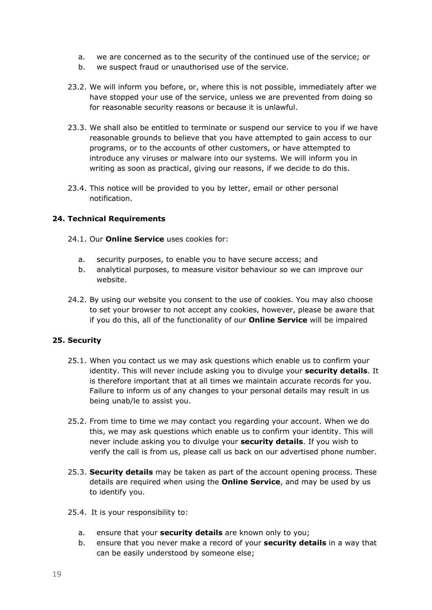- a. we are concerned as to the security of the continued use of the service; or
- b. we suspect fraud or unauthorised use of the service.
- 23.2. We will inform you before, or, where this is not possible, immediately after we have stopped your use of the service, unless we are prevented from doing so for reasonable security reasons or because it is unlawful.
- 23.3. We shall also be entitled to terminate or suspend our service to you if we have reasonable grounds to believe that you have attempted to gain access to our programs, or to the accounts of other customers, or have attempted to introduce any viruses or malware into our systems. We will inform you in writing as soon as practical, giving our reasons, if we decide to do this.
- 23.4. This notice will be provided to you by letter, email or other personal notification.

#### **24. Technical Requirements**

- 24.1. Our **Online Service** uses cookies for:
	- a. security purposes, to enable you to have secure access; and
	- b. analytical purposes, to measure visitor behaviour so we can improve our website.
- 24.2. By using our website you consent to the use of cookies. You may also choose to set your browser to not accept any cookies, however, please be aware that if you do this, all of the functionality of our **Online Service** will be impaired

#### **25. Security**

- 25.1. When you contact us we may ask questions which enable us to confirm your identity. This will never include asking you to divulge your **security details**. It is therefore important that at all times we maintain accurate records for you. Failure to inform us of any changes to your personal details may result in us being unab/le to assist you.
- 25.2. From time to time we may contact you regarding your account. When we do this, we may ask questions which enable us to confirm your identity. This will never include asking you to divulge your **security details**. If you wish to verify the call is from us, please call us back on our advertised phone number.
- 25.3. **Security details** may be taken as part of the account opening process. These details are required when using the **Online Service**, and may be used by us to identify you.
- 25.4. It is your responsibility to:
	- a. ensure that your **security details** are known only to you;
	- b. ensure that you never make a record of your **security details** in a way that can be easily understood by someone else;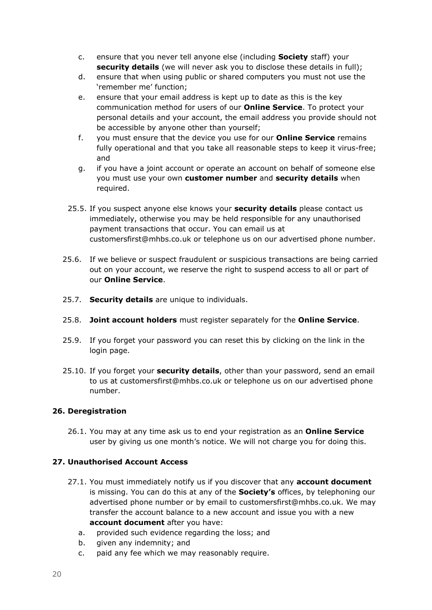- c. ensure that you never tell anyone else (including **Society** staff) your **security details** (we will never ask you to disclose these details in full);
- d. ensure that when using public or shared computers you must not use the 'remember me' function;
- e. ensure that your email address is kept up to date as this is the key communication method for users of our **Online Service**. To protect your personal details and your account, the email address you provide should not be accessible by anyone other than yourself;
- f. you must ensure that the device you use for our **Online Service** remains fully operational and that you take all reasonable steps to keep it virus-free; and
- g. if you have a joint account or operate an account on behalf of someone else you must use your own **customer number** and **security details** when required.
- 25.5. If you suspect anyone else knows your **security details** please contact us immediately, otherwise you may be held responsible for any unauthorised payment transactions that occur. You can email us at customersfirst@mhbs.co.uk or telephone us on our advertised phone number.
- 25.6. If we believe or suspect fraudulent or suspicious transactions are being carried out on your account, we reserve the right to suspend access to all or part of our **Online Service**.
- 25.7. **Security details** are unique to individuals.
- 25.8. **Joint account holders** must register separately for the **Online Service**.
- 25.9. If you forget your password you can reset this by clicking on the link in the login page.
- 25.10. If you forget your **security details**, other than your password, send an email to us at customersfirst@mhbs.co.uk or telephone us on our advertised phone number.

# **26. Deregistration**

26.1. You may at any time ask us to end your registration as an **Online Service** user by giving us one month's notice. We will not charge you for doing this.

# **27. Unauthorised Account Access**

- 27.1. You must immediately notify us if you discover that any **account document** is missing. You can do this at any of the **Society's** offices, by telephoning our advertised phone number or by email to customersfirst@mhbs.co.uk. We may transfer the account balance to a new account and issue you with a new **account document** after you have:
	- a. provided such evidence regarding the loss; and
	- b. given any indemnity; and
	- c. paid any fee which we may reasonably require.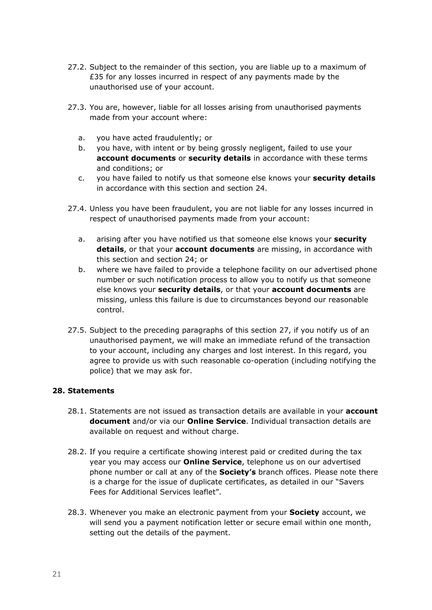- 27.2. Subject to the remainder of this section, you are liable up to a maximum of £35 for any losses incurred in respect of any payments made by the unauthorised use of your account.
- 27.3. You are, however, liable for all losses arising from unauthorised payments made from your account where:
	- a. you have acted fraudulently; or
	- b. you have, with intent or by being grossly negligent, failed to use your **account documents** or **security details** in accordance with these terms and conditions; or
	- c. you have failed to notify us that someone else knows your **security details** in accordance with this section and section 24.
- 27.4. Unless you have been fraudulent, you are not liable for any losses incurred in respect of unauthorised payments made from your account:
	- a. arising after you have notified us that someone else knows your **security details**, or that your **account documents** are missing, in accordance with this section and section 24; or
	- b. where we have failed to provide a telephone facility on our advertised phone number or such notification process to allow you to notify us that someone else knows your **security details**, or that your **account documents** are missing, unless this failure is due to circumstances beyond our reasonable control.
- 27.5. Subject to the preceding paragraphs of this section 27, if you notify us of an unauthorised payment, we will make an immediate refund of the transaction to your account, including any charges and lost interest. In this regard, you agree to provide us with such reasonable co-operation (including notifying the police) that we may ask for.

#### **28. Statements**

- 28.1. Statements are not issued as transaction details are available in your **account document** and/or via our **Online Service**. Individual transaction details are available on request and without charge.
- 28.2. If you require a certificate showing interest paid or credited during the tax year you may access our **Online Service**, telephone us on our advertised phone number or call at any of the **Society's** branch offices. Please note there is a charge for the issue of duplicate certificates, as detailed in our "Savers Fees for Additional Services leaflet".
- 28.3. Whenever you make an electronic payment from your **Society** account, we will send you a payment notification letter or secure email within one month, setting out the details of the payment.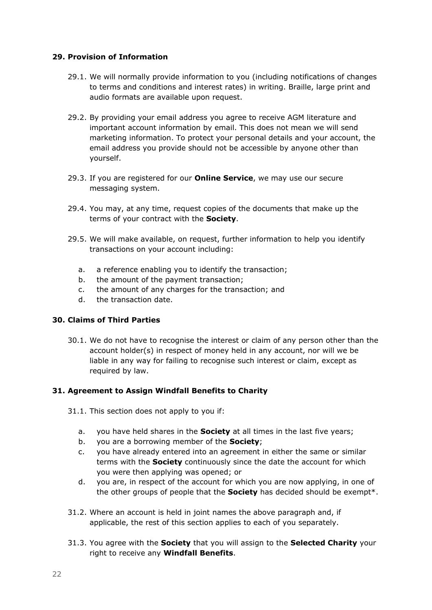### **29. Provision of Information**

- 29.1. We will normally provide information to you (including notifications of changes to terms and conditions and interest rates) in writing. Braille, large print and audio formats are available upon request.
- 29.2. By providing your email address you agree to receive AGM literature and important account information by email. This does not mean we will send marketing information. To protect your personal details and your account, the email address you provide should not be accessible by anyone other than yourself.
- 29.3. If you are registered for our **Online Service**, we may use our secure messaging system.
- 29.4. You may, at any time, request copies of the documents that make up the terms of your contract with the **Society**.
- 29.5. We will make available, on request, further information to help you identify transactions on your account including:
	- a. a reference enabling you to identify the transaction;
	- b. the amount of the payment transaction;
	- c. the amount of any charges for the transaction; and
	- d. the transaction date.

#### **30. Claims of Third Parties**

30.1. We do not have to recognise the interest or claim of any person other than the account holder(s) in respect of money held in any account, nor will we be liable in any way for failing to recognise such interest or claim, except as required by law.

# **31. Agreement to Assign Windfall Benefits to Charity**

- 31.1. This section does not apply to you if:
	- a. you have held shares in the **Society** at all times in the last five years;
	- b. you are a borrowing member of the **Society**;
	- c. you have already entered into an agreement in either the same or similar terms with the **Society** continuously since the date the account for which you were then applying was opened; or
	- d. you are, in respect of the account for which you are now applying, in one of the other groups of people that the **Society** has decided should be exempt\*.
- 31.2. Where an account is held in joint names the above paragraph and, if applicable, the rest of this section applies to each of you separately.
- 31.3. You agree with the **Society** that you will assign to the **Selected Charity** your right to receive any **Windfall Benefits**.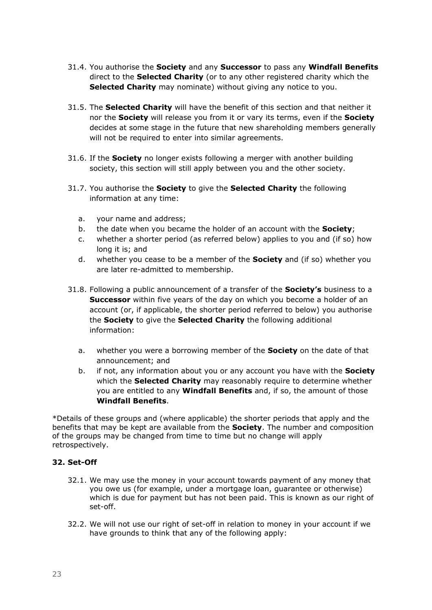- 31.4. You authorise the **Society** and any **Successor** to pass any **Windfall Benefits** direct to the **Selected Charity** (or to any other registered charity which the **Selected Charity** may nominate) without giving any notice to you.
- 31.5. The **Selected Charity** will have the benefit of this section and that neither it nor the **Society** will release you from it or vary its terms, even if the **Society** decides at some stage in the future that new shareholding members generally will not be required to enter into similar agreements.
- 31.6. If the **Society** no longer exists following a merger with another building society, this section will still apply between you and the other society.
- 31.7. You authorise the **Society** to give the **Selected Charity** the following information at any time:
	- a. your name and address;
	- b. the date when you became the holder of an account with the **Society**;
	- c. whether a shorter period (as referred below) applies to you and (if so) how long it is; and
	- d. whether you cease to be a member of the **Society** and (if so) whether you are later re-admitted to membership.
- 31.8. Following a public announcement of a transfer of the **Society's** business to a **Successor** within five years of the day on which you become a holder of an account (or, if applicable, the shorter period referred to below) you authorise the **Society** to give the **Selected Charity** the following additional information:
	- a. whether you were a borrowing member of the **Society** on the date of that announcement; and
	- b. if not, any information about you or any account you have with the **Society** which the **Selected Charity** may reasonably require to determine whether you are entitled to any **Windfall Benefits** and, if so, the amount of those **Windfall Benefits**.

\*Details of these groups and (where applicable) the shorter periods that apply and the benefits that may be kept are available from the **Society**. The number and composition of the groups may be changed from time to time but no change will apply retrospectively.

#### **32. Set-Off**

- 32.1. We may use the money in your account towards payment of any money that you owe us (for example, under a mortgage loan, guarantee or otherwise) which is due for payment but has not been paid. This is known as our right of set-off.
- 32.2. We will not use our right of set-off in relation to money in your account if we have grounds to think that any of the following apply: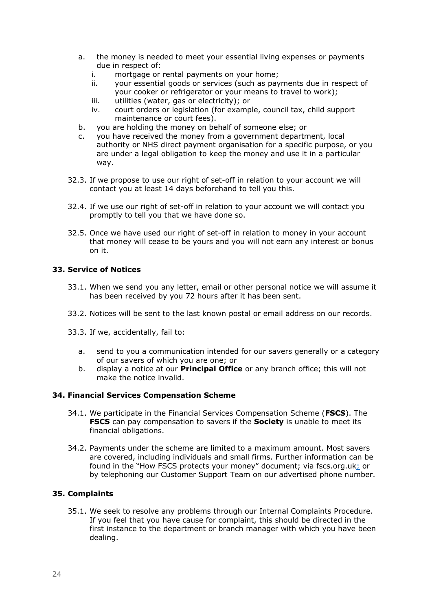- a. the money is needed to meet your essential living expenses or payments due in respect of:
	- i. mortgage or rental payments on your home;
	- ii. your essential goods or services (such as payments due in respect of your cooker or refrigerator or your means to travel to work);
	- iii. utilities (water, gas or electricity); or
	- iv. court orders or legislation (for example, council tax, child support maintenance or court fees).
- b. you are holding the money on behalf of someone else; or
- c. you have received the money from a government department, local authority or NHS direct payment organisation for a specific purpose, or you are under a legal obligation to keep the money and use it in a particular way.
- 32.3. If we propose to use our right of set-off in relation to your account we will contact you at least 14 days beforehand to tell you this.
- 32.4. If we use our right of set-off in relation to your account we will contact you promptly to tell you that we have done so.
- 32.5. Once we have used our right of set-off in relation to money in your account that money will cease to be yours and you will not earn any interest or bonus on it.

#### **33. Service of Notices**

- 33.1. When we send you any letter, email or other personal notice we will assume it has been received by you 72 hours after it has been sent.
- 33.2. Notices will be sent to the last known postal or email address on our records.
- 33.3. If we, accidentally, fail to:
	- a. send to you a communication intended for our savers generally or a category of our savers of which you are one; or
	- b. display a notice at our **Principal Office** or any branch office; this will not make the notice invalid.

#### **34. Financial Services Compensation Scheme**

- 34.1. We participate in the Financial Services Compensation Scheme (**FSCS**). The **FSCS** can pay compensation to savers if the **Society** is unable to meet its financial obligations.
- 34.2. Payments under the scheme are limited to a maximum amount. Most savers are covered, including individuals and small firms. Further information can be found in the "How FSCS protects your money" document; via fscs.org.uk; or by telephoning our Customer Support Team on our advertised phone number.

#### **35. Complaints**

35.1. We seek to resolve any problems through our Internal Complaints Procedure. If you feel that you have cause for complaint, this should be directed in the first instance to the department or branch manager with which you have been dealing.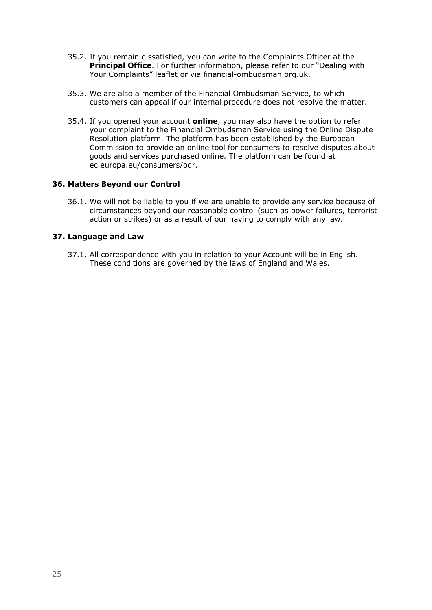- 35.2. If you remain dissatisfied, you can write to the Complaints Officer at the **Principal Office**. For further information, please refer to our "Dealing with Your Complaints" leaflet or via financial-ombudsman.org.uk.
- 35.3. We are also a member of the Financial Ombudsman Service, to which customers can appeal if our internal procedure does not resolve the matter.
- 35.4. If you opened your account **online**, you may also have the option to refer your complaint to the Financial Ombudsman Service using the Online Dispute Resolution platform. The platform has been established by the European Commission to provide an online tool for consumers to resolve disputes about goods and services purchased online. The platform can be found at ec.europa.eu/consumers/odr.

#### **36. Matters Beyond our Control**

36.1. We will not be liable to you if we are unable to provide any service because of circumstances beyond our reasonable control (such as power failures, terrorist action or strikes) or as a result of our having to comply with any law.

#### **37. Language and Law**

37.1. All correspondence with you in relation to your Account will be in English. These conditions are governed by the laws of England and Wales.